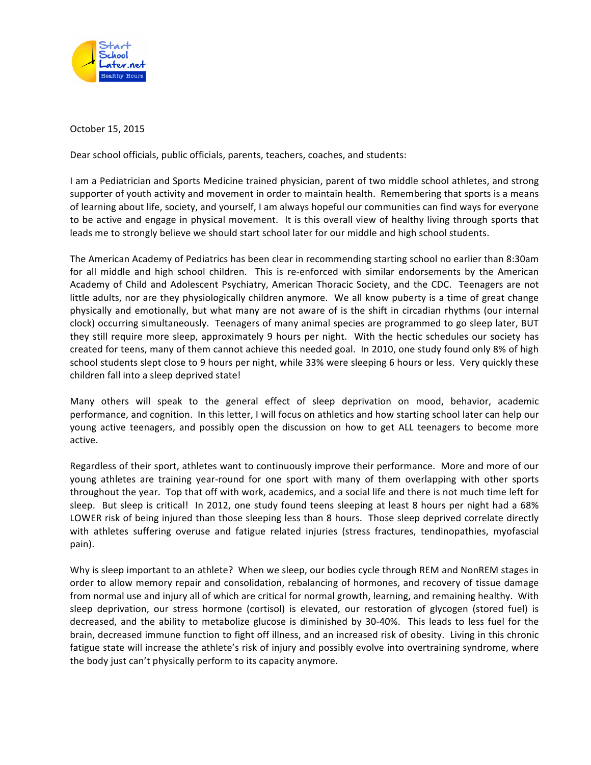

October 15, 2015

Dear school officials, public officials, parents, teachers, coaches, and students:

I am a Pediatrician and Sports Medicine trained physician, parent of two middle school athletes, and strong supporter of youth activity and movement in order to maintain health. Remembering that sports is a means of learning about life, society, and yourself, I am always hopeful our communities can find ways for everyone to be active and engage in physical movement. It is this overall view of healthy living through sports that leads me to strongly believe we should start school later for our middle and high school students.

The American Academy of Pediatrics has been clear in recommending starting school no earlier than 8:30am for all middle and high school children. This is re-enforced with similar endorsements by the American Academy of Child and Adolescent Psychiatry, American Thoracic Society, and the CDC. Teenagers are not little adults, nor are they physiologically children anymore. We all know puberty is a time of great change physically and emotionally, but what many are not aware of is the shift in circadian rhythms (our internal clock) occurring simultaneously. Teenagers of many animal species are programmed to go sleep later, BUT they still require more sleep, approximately 9 hours per night. With the hectic schedules our society has created for teens, many of them cannot achieve this needed goal. In 2010, one study found only 8% of high school students slept close to 9 hours per night, while 33% were sleeping 6 hours or less. Very quickly these children fall into a sleep deprived state!

Many others will speak to the general effect of sleep deprivation on mood, behavior, academic performance, and cognition. In this letter, I will focus on athletics and how starting school later can help our young active teenagers, and possibly open the discussion on how to get ALL teenagers to become more active.

Regardless of their sport, athletes want to continuously improve their performance. More and more of our young athletes are training year-round for one sport with many of them overlapping with other sports throughout the year. Top that off with work, academics, and a social life and there is not much time left for sleep. But sleep is critical! In 2012, one study found teens sleeping at least 8 hours per night had a 68% LOWER risk of being injured than those sleeping less than 8 hours. Those sleep deprived correlate directly with athletes suffering overuse and fatigue related injuries (stress fractures, tendinopathies, myofascial pain).

Why is sleep important to an athlete? When we sleep, our bodies cycle through REM and NonREM stages in order to allow memory repair and consolidation, rebalancing of hormones, and recovery of tissue damage from normal use and injury all of which are critical for normal growth, learning, and remaining healthy. With sleep deprivation, our stress hormone (cortisol) is elevated, our restoration of glycogen (stored fuel) is decreased, and the ability to metabolize glucose is diminished by 30-40%. This leads to less fuel for the brain, decreased immune function to fight off illness, and an increased risk of obesity. Living in this chronic fatigue state will increase the athlete's risk of injury and possibly evolve into overtraining syndrome, where the body just can't physically perform to its capacity anymore.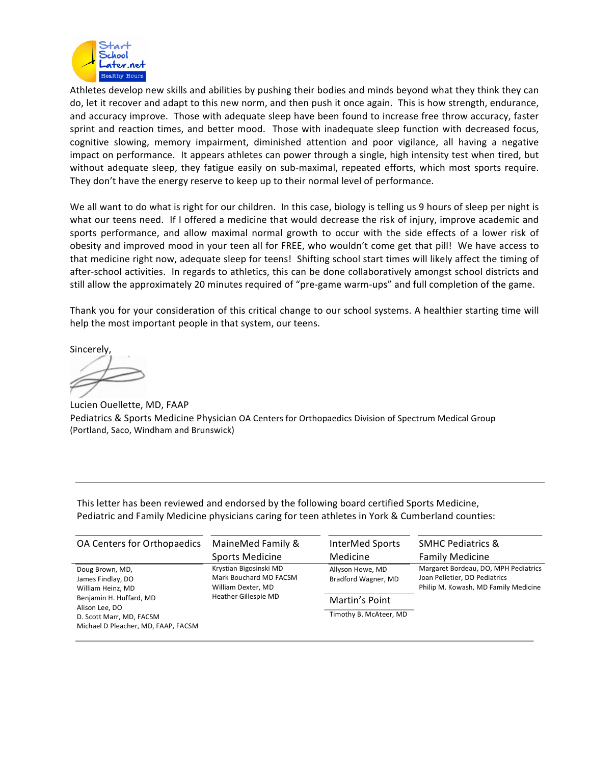

Athletes develop new skills and abilities by pushing their bodies and minds beyond what they think they can do, let it recover and adapt to this new norm, and then push it once again. This is how strength, endurance, and accuracy improve. Those with adequate sleep have been found to increase free throw accuracy, faster sprint and reaction times, and better mood. Those with inadequate sleep function with decreased focus, cognitive slowing, memory impairment, diminished attention and poor vigilance, all having a negative impact on performance. It appears athletes can power through a single, high intensity test when tired, but without adequate sleep, they fatigue easily on sub-maximal, repeated efforts, which most sports require. They don't have the energy reserve to keep up to their normal level of performance.

We all want to do what is right for our children. In this case, biology is telling us 9 hours of sleep per night is what our teens need. If I offered a medicine that would decrease the risk of injury, improve academic and sports performance, and allow maximal normal growth to occur with the side effects of a lower risk of obesity and improved mood in your teen all for FREE, who wouldn't come get that pill! We have access to that medicine right now, adequate sleep for teens! Shifting school start times will likely affect the timing of after-school activities. In regards to athletics, this can be done collaboratively amongst school districts and still allow the approximately 20 minutes required of "pre-game warm-ups" and full completion of the game.

Thank you for your consideration of this critical change to our school systems. A healthier starting time will help the most important people in that system, our teens.

Sincerely, 

Lucien Ouellette, MD, FAAP Pediatrics & Sports Medicine Physician OA Centers for Orthopaedics Division of Spectrum Medical Group (Portland, Saco, Windham and Brunswick)

This letter has been reviewed and endorsed by the following board certified Sports Medicine, Pediatric and Family Medicine physicians caring for teen athletes in York & Cumberland counties:

| OA Centers for Orthopaedics                                                                                                                                               | MaineMed Family &                                                                                     | InterMed Sports                                                                     | <b>SMHC Pediatrics &amp;</b>                                                                                  |
|---------------------------------------------------------------------------------------------------------------------------------------------------------------------------|-------------------------------------------------------------------------------------------------------|-------------------------------------------------------------------------------------|---------------------------------------------------------------------------------------------------------------|
|                                                                                                                                                                           | Sports Medicine                                                                                       | Medicine                                                                            | <b>Family Medicine</b>                                                                                        |
| Doug Brown, MD,<br>James Findlay, DO<br>William Heinz, MD<br>Benjamin H. Huffard, MD<br>Alison Lee, DO<br>D. Scott Marr, MD, FACSM<br>Michael D Pleacher, MD, FAAP, FACSM | Krystian Bigosinski MD<br>Mark Bouchard MD FACSM<br>William Dexter, MD<br><b>Heather Gillespie MD</b> | Allyson Howe, MD<br>Bradford Wagner, MD<br>Martin's Point<br>Timothy B. McAteer, MD | Margaret Bordeau, DO, MPH Pediatrics<br>Joan Pelletier, DO Pediatrics<br>Philip M. Kowash, MD Family Medicine |